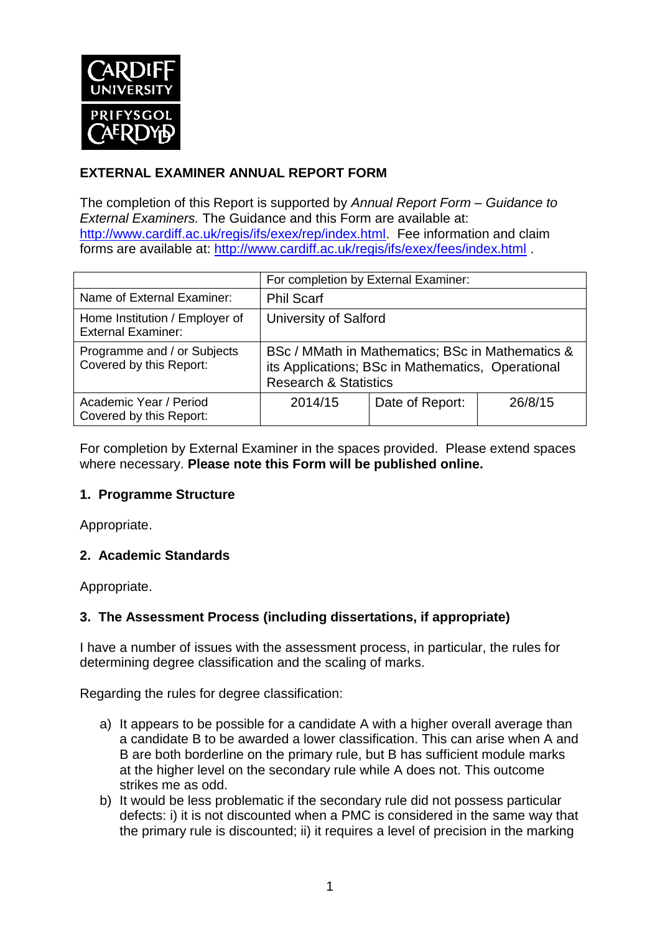

## **EXTERNAL EXAMINER ANNUAL REPORT FORM**

The completion of this Report is supported by *Annual Report Form – Guidance to External Examiners.* The Guidance and this Form are available at: [http://www.cardiff.ac.uk/regis/ifs/exex/rep/index.html.](http://www.cardiff.ac.uk/regis/ifs/exex/rep/index.html) Fee information and claim forms are available at:<http://www.cardiff.ac.uk/regis/ifs/exex/fees/index.html> .

|                                                             | For completion by External Examiner:                                                                                                      |                 |         |  |
|-------------------------------------------------------------|-------------------------------------------------------------------------------------------------------------------------------------------|-----------------|---------|--|
| Name of External Examiner:                                  | <b>Phil Scarf</b>                                                                                                                         |                 |         |  |
| Home Institution / Employer of<br><b>External Examiner:</b> | <b>University of Salford</b>                                                                                                              |                 |         |  |
| Programme and / or Subjects<br>Covered by this Report:      | BSc / MMath in Mathematics; BSc in Mathematics &<br>its Applications; BSc in Mathematics, Operational<br><b>Research &amp; Statistics</b> |                 |         |  |
| Academic Year / Period<br>Covered by this Report:           | 2014/15                                                                                                                                   | Date of Report: | 26/8/15 |  |

For completion by External Examiner in the spaces provided. Please extend spaces where necessary. **Please note this Form will be published online.**

#### **1. Programme Structure**

Appropriate.

## **2. Academic Standards**

Appropriate.

## **3. The Assessment Process (including dissertations, if appropriate)**

I have a number of issues with the assessment process, in particular, the rules for determining degree classification and the scaling of marks.

Regarding the rules for degree classification:

- a) It appears to be possible for a candidate A with a higher overall average than a candidate B to be awarded a lower classification. This can arise when A and B are both borderline on the primary rule, but B has sufficient module marks at the higher level on the secondary rule while A does not. This outcome strikes me as odd.
- b) It would be less problematic if the secondary rule did not possess particular defects: i) it is not discounted when a PMC is considered in the same way that the primary rule is discounted; ii) it requires a level of precision in the marking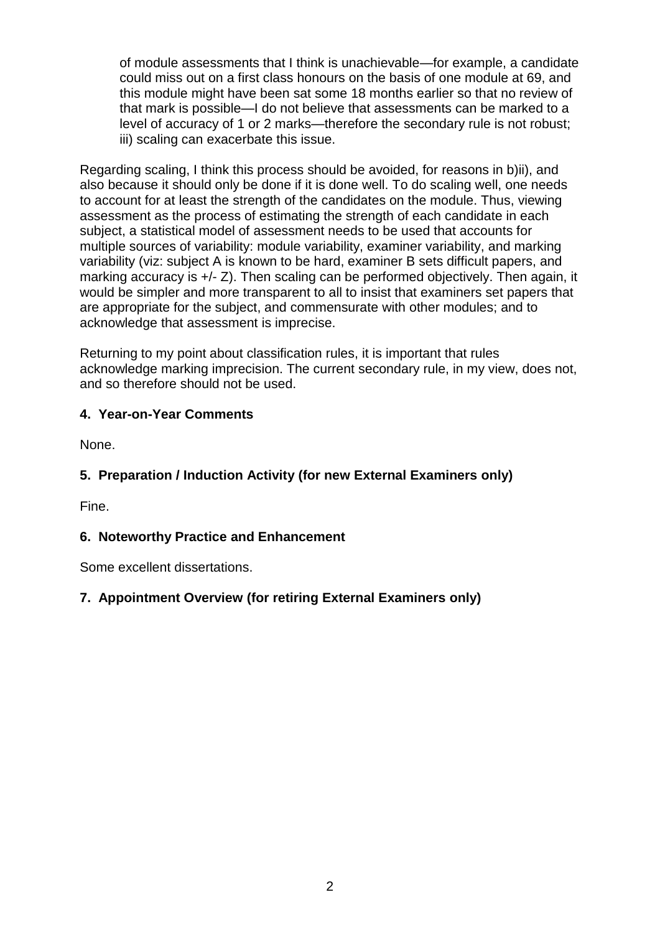of module assessments that I think is unachievable—for example, a candidate could miss out on a first class honours on the basis of one module at 69, and this module might have been sat some 18 months earlier so that no review of that mark is possible—I do not believe that assessments can be marked to a level of accuracy of 1 or 2 marks—therefore the secondary rule is not robust; iii) scaling can exacerbate this issue.

Regarding scaling, I think this process should be avoided, for reasons in b)ii), and also because it should only be done if it is done well. To do scaling well, one needs to account for at least the strength of the candidates on the module. Thus, viewing assessment as the process of estimating the strength of each candidate in each subject, a statistical model of assessment needs to be used that accounts for multiple sources of variability: module variability, examiner variability, and marking variability (viz: subject A is known to be hard, examiner B sets difficult papers, and marking accuracy is +/- Z). Then scaling can be performed objectively. Then again, it would be simpler and more transparent to all to insist that examiners set papers that are appropriate for the subject, and commensurate with other modules; and to acknowledge that assessment is imprecise.

Returning to my point about classification rules, it is important that rules acknowledge marking imprecision. The current secondary rule, in my view, does not, and so therefore should not be used.

## **4. Year-on-Year Comments**

None.

# **5. Preparation / Induction Activity (for new External Examiners only)**

Fine.

## **6. Noteworthy Practice and Enhancement**

Some excellent dissertations.

## **7. Appointment Overview (for retiring External Examiners only)**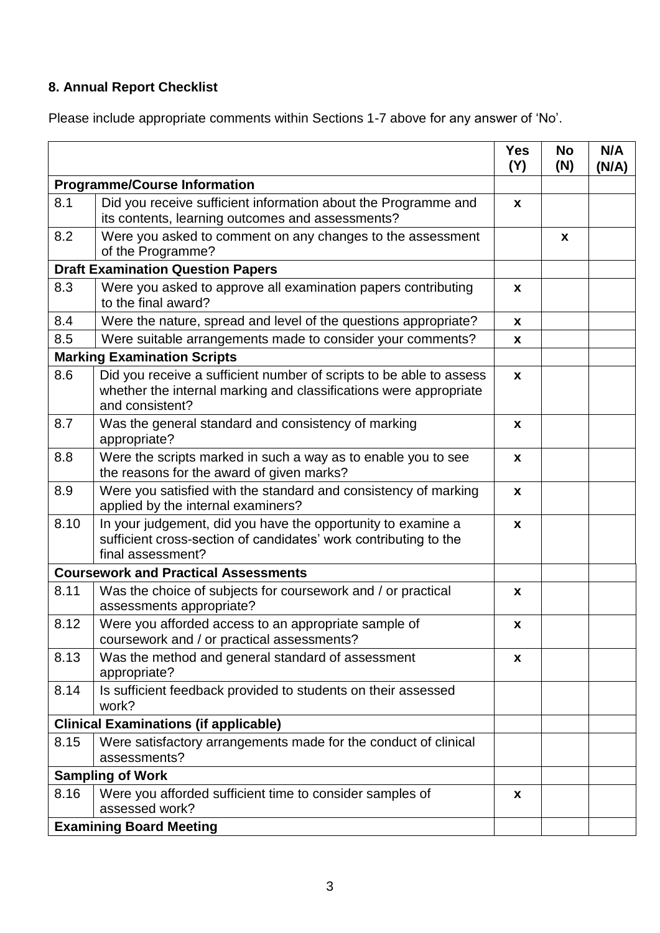# **8. Annual Report Checklist**

Please include appropriate comments within Sections 1-7 above for any answer of 'No'.

|                                             |                                                                                                                                                             | <b>Yes</b><br>(Y)         | <b>No</b><br>(N) | N/A<br>(N/A) |
|---------------------------------------------|-------------------------------------------------------------------------------------------------------------------------------------------------------------|---------------------------|------------------|--------------|
| <b>Programme/Course Information</b>         |                                                                                                                                                             |                           |                  |              |
| 8.1                                         | Did you receive sufficient information about the Programme and<br>its contents, learning outcomes and assessments?                                          | $\boldsymbol{x}$          |                  |              |
| 8.2                                         | Were you asked to comment on any changes to the assessment<br>of the Programme?                                                                             |                           | X                |              |
| <b>Draft Examination Question Papers</b>    |                                                                                                                                                             |                           |                  |              |
| 8.3                                         | Were you asked to approve all examination papers contributing<br>to the final award?                                                                        | X                         |                  |              |
| 8.4                                         | Were the nature, spread and level of the questions appropriate?                                                                                             | X                         |                  |              |
| 8.5                                         | Were suitable arrangements made to consider your comments?                                                                                                  | X                         |                  |              |
| <b>Marking Examination Scripts</b>          |                                                                                                                                                             |                           |                  |              |
| 8.6                                         | Did you receive a sufficient number of scripts to be able to assess<br>whether the internal marking and classifications were appropriate<br>and consistent? | $\mathbf{x}$              |                  |              |
| 8.7                                         | Was the general standard and consistency of marking<br>appropriate?                                                                                         | X                         |                  |              |
| 8.8                                         | Were the scripts marked in such a way as to enable you to see<br>the reasons for the award of given marks?                                                  | $\boldsymbol{x}$          |                  |              |
| 8.9                                         | Were you satisfied with the standard and consistency of marking<br>applied by the internal examiners?                                                       | $\boldsymbol{\mathsf{x}}$ |                  |              |
| 8.10                                        | In your judgement, did you have the opportunity to examine a<br>sufficient cross-section of candidates' work contributing to the<br>final assessment?       | $\boldsymbol{x}$          |                  |              |
| <b>Coursework and Practical Assessments</b> |                                                                                                                                                             |                           |                  |              |
| 8.11                                        | Was the choice of subjects for coursework and / or practical<br>assessments appropriate?                                                                    | X                         |                  |              |
| 8.12                                        | Were you afforded access to an appropriate sample of<br>coursework and / or practical assessments?                                                          | $\pmb{\mathsf{x}}$        |                  |              |
| 8.13                                        | Was the method and general standard of assessment<br>appropriate?                                                                                           | x                         |                  |              |
| 8.14                                        | Is sufficient feedback provided to students on their assessed<br>work?                                                                                      |                           |                  |              |
|                                             | <b>Clinical Examinations (if applicable)</b>                                                                                                                |                           |                  |              |
| 8.15                                        | Were satisfactory arrangements made for the conduct of clinical<br>assessments?                                                                             |                           |                  |              |
| <b>Sampling of Work</b>                     |                                                                                                                                                             |                           |                  |              |
| 8.16                                        | Were you afforded sufficient time to consider samples of<br>assessed work?                                                                                  | X                         |                  |              |
| <b>Examining Board Meeting</b>              |                                                                                                                                                             |                           |                  |              |